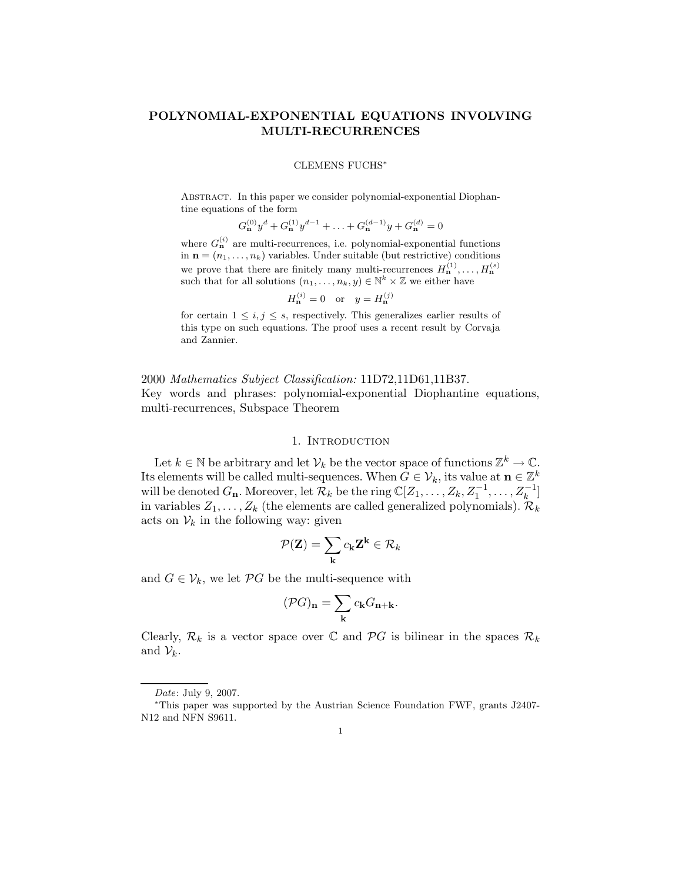# POLYNOMIAL-EXPONENTIAL EQUATIONS INVOLVING MULTI-RECURRENCES

### CLEMENS FUCHS<sup>∗</sup>

Abstract. In this paper we consider polynomial-exponential Diophantine equations of the form

$$
G_{\mathbf{n}}^{(0)}y^d + G_{\mathbf{n}}^{(1)}y^{d-1} + \ldots + G_{\mathbf{n}}^{(d-1)}y + G_{\mathbf{n}}^{(d)} = 0
$$

where  $G_{\mathbf{n}}^{(i)}$  are multi-recurrences, i.e. polynomial-exponential functions in  $\mathbf{n} = (n_1, \ldots, n_k)$  variables. Under suitable (but restrictive) conditions we prove that there are finitely many multi-recurrences  $H_{\mathbf{n}}^{(1)}, \ldots, H_{\mathbf{n}}^{(s)}$ such that for all solutions  $(n_1, \ldots, n_k, y) \in \mathbb{N}^k \times \mathbb{Z}$  we either have

$$
H_{\mathbf{n}}^{(i)} = 0 \quad \text{or} \quad y = H_{\mathbf{n}}^{(j)}
$$

for certain  $1 \leq i, j \leq s$ , respectively. This generalizes earlier results of this type on such equations. The proof uses a recent result by Corvaja and Zannier.

2000 Mathematics Subject Classification: 11D72,11D61,11B37. Key words and phrases: polynomial-exponential Diophantine equations, multi-recurrences, Subspace Theorem

### 1. Introduction

Let  $k \in \mathbb{N}$  be arbitrary and let  $\mathcal{V}_k$  be the vector space of functions  $\mathbb{Z}^k \to \mathbb{C}$ . Its elements will be called multi-sequences. When  $G \in \mathcal{V}_k$ , its value at  $\mathbf{n} \in \mathbb{Z}^k$ will be denoted  $G_n$ . Moreover, let  $\mathcal{R}_k$  be the ring  $\mathbb{C}[Z_1,\ldots,Z_k,Z_1^{-1},\ldots,Z_k^{-1}]$  $\binom{-1}{k}$ in variables  $Z_1, \ldots, Z_k$  (the elements are called generalized polynomials).  $\mathcal{R}_k$ acts on  $V_k$  in the following way: given

$$
\mathcal{P}(\mathbf{Z}) = \sum_{\mathbf{k}} c_{\mathbf{k}} \mathbf{Z}^{\mathbf{k}} \in \mathcal{R}_k
$$

and  $G \in \mathcal{V}_k$ , we let  $\mathcal{P}G$  be the multi-sequence with

$$
(\mathcal{P}G)_{\mathbf{n}} = \sum_{\mathbf{k}} c_{\mathbf{k}} G_{\mathbf{n}+\mathbf{k}}.
$$

Clearly,  $\mathcal{R}_k$  is a vector space over  $\mathbb C$  and  $\mathcal{P}G$  is bilinear in the spaces  $\mathcal{R}_k$ and  $\mathcal{V}_k$ .

Date: July 9, 2007.

<sup>∗</sup>This paper was supported by the Austrian Science Foundation FWF, grants J2407- N12 and NFN S9611.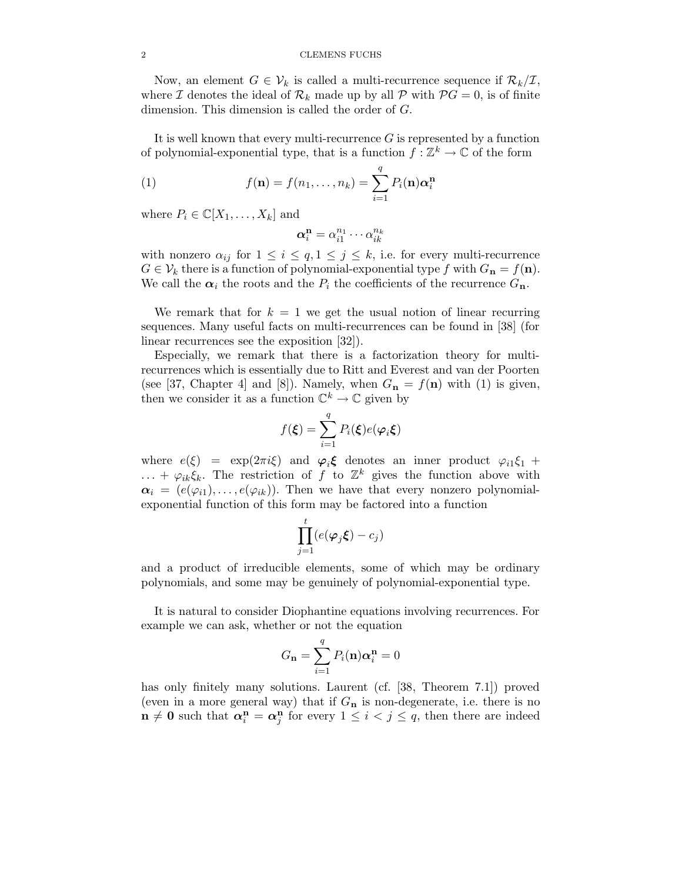Now, an element  $G \in \mathcal{V}_k$  is called a multi-recurrence sequence if  $\mathcal{R}_k/\mathcal{I}$ , where I denotes the ideal of  $\mathcal{R}_k$  made up by all P with  $\mathcal{P}G = 0$ , is of finite dimension. This dimension is called the order of G.

It is well known that every multi-recurrence  $G$  is represented by a function of polynomial-exponential type, that is a function  $f : \mathbb{Z}^k \to \mathbb{C}$  of the form

(1) 
$$
f(\mathbf{n}) = f(n_1, \dots, n_k) = \sum_{i=1}^q P_i(\mathbf{n}) \alpha_i^{\mathbf{n}}
$$

where  $P_i \in \mathbb{C}[X_1,\ldots,X_k]$  and

$$
\boldsymbol{\alpha}_i^{\mathbf{n}} = \alpha_{i1}^{n_1} \cdots \alpha_{ik}^{n_k}
$$

with nonzero  $\alpha_{ij}$  for  $1 \leq i \leq q, 1 \leq j \leq k$ , i.e. for every multi-recurrence  $G \in \mathcal{V}_k$  there is a function of polynomial-exponential type f with  $G_n = f(n)$ . We call the  $\alpha_i$  the roots and the  $P_i$  the coefficients of the recurrence  $G_n$ .

We remark that for  $k = 1$  we get the usual notion of linear recurring sequences. Many useful facts on multi-recurrences can be found in [38] (for linear recurrences see the exposition [32]).

Especially, we remark that there is a factorization theory for multirecurrences which is essentially due to Ritt and Everest and van der Poorten (see [37, Chapter 4] and [8]). Namely, when  $G_n = f(n)$  with (1) is given, then we consider it as a function  $\mathbb{C}^k \to \mathbb{C}$  given by

$$
f(\boldsymbol{\xi}) = \sum_{i=1}^{q} P_i(\boldsymbol{\xi}) e(\boldsymbol{\varphi}_i \boldsymbol{\xi})
$$

where  $e(\xi) = \exp(2\pi i \xi)$  and  $\varphi_i \xi$  denotes an inner product  $\varphi_{i1}\xi_1 + \varphi_{i2}\xi_2$ ... +  $\varphi_{ik}\xi_k$ . The restriction of f to  $\mathbb{Z}^k$  gives the function above with  $\alpha_i = (e(\varphi_{i1}), \ldots, e(\varphi_{ik}))$ . Then we have that every nonzero polynomialexponential function of this form may be factored into a function

$$
\prod_{j=1}^t (e(\varphi_j \xi) - c_j)
$$

and a product of irreducible elements, some of which may be ordinary polynomials, and some may be genuinely of polynomial-exponential type.

It is natural to consider Diophantine equations involving recurrences. For example we can ask, whether or not the equation

$$
G_{\mathbf{n}} = \sum_{i=1}^{q} P_i(\mathbf{n}) \alpha_i^{\mathbf{n}} = 0
$$

has only finitely many solutions. Laurent (cf. [38, Theorem 7.1]) proved (even in a more general way) that if  $G_n$  is non-degenerate, i.e. there is no  $\mathbf{n} \neq \mathbf{0}$  such that  $\alpha_i^{\mathbf{n}} = \alpha_j^{\mathbf{n}}$  for every  $1 \leq i < j \leq q$ , then there are indeed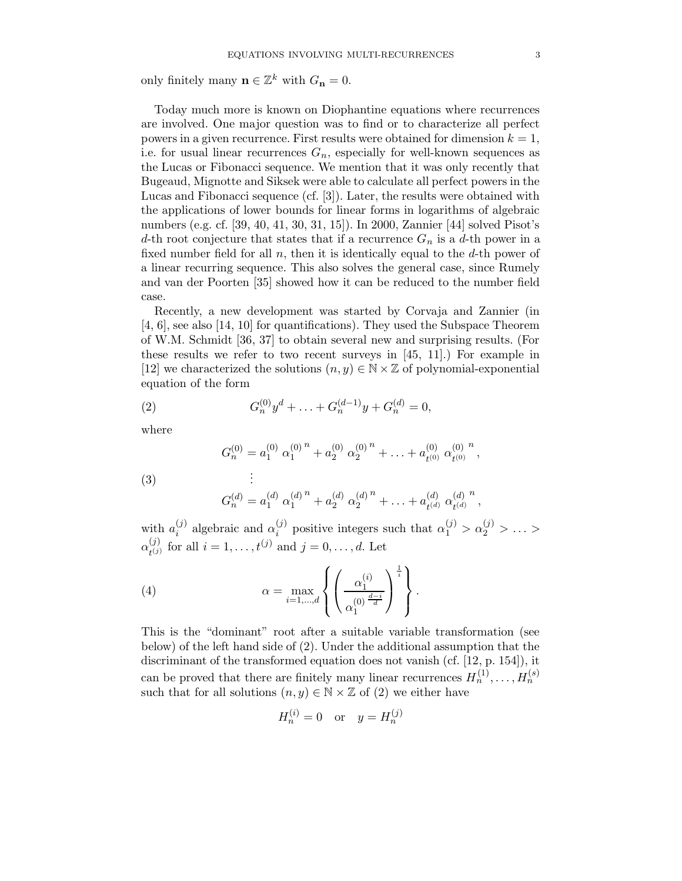only finitely many  $\mathbf{n} \in \mathbb{Z}^k$  with  $G_{\mathbf{n}} = 0$ .

Today much more is known on Diophantine equations where recurrences are involved. One major question was to find or to characterize all perfect powers in a given recurrence. First results were obtained for dimension  $k = 1$ , i.e. for usual linear recurrences  $G_n$ , especially for well-known sequences as the Lucas or Fibonacci sequence. We mention that it was only recently that Bugeaud, Mignotte and Siksek were able to calculate all perfect powers in the Lucas and Fibonacci sequence (cf. [3]). Later, the results were obtained with the applications of lower bounds for linear forms in logarithms of algebraic numbers (e.g. cf. [39, 40, 41, 30, 31, 15]). In 2000, Zannier [44] solved Pisot's d-th root conjecture that states that if a recurrence  $G_n$  is a d-th power in a fixed number field for all  $n$ , then it is identically equal to the  $d$ -th power of a linear recurring sequence. This also solves the general case, since Rumely and van der Poorten [35] showed how it can be reduced to the number field case.

Recently, a new development was started by Corvaja and Zannier (in [4, 6], see also [14, 10] for quantifications). They used the Subspace Theorem of W.M. Schmidt [36, 37] to obtain several new and surprising results. (For these results we refer to two recent surveys in [45, 11].) For example in [12] we characterized the solutions  $(n, y) \in \mathbb{N} \times \mathbb{Z}$  of polynomial-exponential equation of the form

(2) 
$$
G_n^{(0)}y^d + \ldots + G_n^{(d-1)}y + G_n^{(d)} = 0,
$$

where

(3)  
\n
$$
G_n^{(0)} = a_1^{(0)} \alpha_1^{(0)}^n + a_2^{(0)} \alpha_2^{(0)}^n + \ldots + a_{t^{(0)}}^{(0)} \alpha_{t^{(0)}}^{(0)}^n,
$$
\n
$$
\vdots
$$
\n
$$
G_n^{(d)} = a_1^{(d)} \alpha_1^{(d)^n} + a_2^{(d)} \alpha_2^{(d)^n} + \ldots + a_{t^{(d)}}^{(d)} \alpha_{t^{(d)}}^{(d)^n},
$$

with  $a_i^{(j)}$  $\alpha_i^{(j)}$  algebraic and  $\alpha_i^{(j)}$  $\alpha_1^{(j)}$  positive integers such that  $\alpha_1^{(j)} > \alpha_2^{(j)} > \ldots >$  $\alpha^{(j)}_{\scriptscriptstyle \pmb{i}^{(j)}}$  $t_{(j)}^{(j)}$  for all  $i = 1, ..., t^{(j)}$  and  $j = 0, ..., d$ . Let

.

(4) 
$$
\alpha = \max_{i=1,\dots,d} \left\{ \left( \frac{\alpha_1^{(i)}}{\alpha_1^{(0)\frac{d-i}{d}}} \right)^{\frac{1}{i}} \right\}
$$

This is the "dominant" root after a suitable variable transformation (see below) of the left hand side of (2). Under the additional assumption that the discriminant of the transformed equation does not vanish (cf. [12, p. 154]), it can be proved that there are finitely many linear recurrences  $H_n^{(1)}, \ldots, H_n^{(s)}$ such that for all solutions  $(n, y) \in \mathbb{N} \times \mathbb{Z}$  of (2) we either have

$$
H_n^{(i)} = 0
$$
 or  $y = H_n^{(j)}$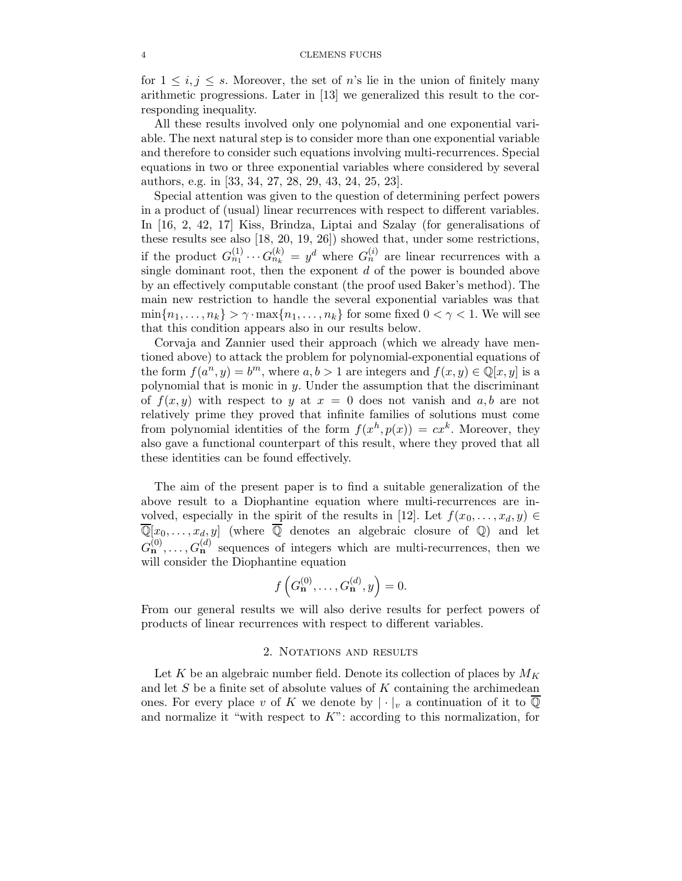for  $1 \leq i, j \leq s$ . Moreover, the set of n's lie in the union of finitely many arithmetic progressions. Later in [13] we generalized this result to the corresponding inequality.

All these results involved only one polynomial and one exponential variable. The next natural step is to consider more than one exponential variable and therefore to consider such equations involving multi-recurrences. Special equations in two or three exponential variables where considered by several authors, e.g. in [33, 34, 27, 28, 29, 43, 24, 25, 23].

Special attention was given to the question of determining perfect powers in a product of (usual) linear recurrences with respect to different variables. In [16, 2, 42, 17] Kiss, Brindza, Liptai and Szalay (for generalisations of these results see also [18, 20, 19, 26]) showed that, under some restrictions, if the product  $G_{n_1}^{(1)} \cdots G_{n_k}^{(k)} = y^d$  where  $G_n^{(i)}$  are linear recurrences with a single dominant root, then the exponent  $d$  of the power is bounded above by an effectively computable constant (the proof used Baker's method). The main new restriction to handle the several exponential variables was that  $\min\{n_1,\ldots,n_k\} > \gamma \cdot \max\{n_1,\ldots,n_k\}$  for some fixed  $0 < \gamma < 1$ . We will see that this condition appears also in our results below.

Corvaja and Zannier used their approach (which we already have mentioned above) to attack the problem for polynomial-exponential equations of the form  $f(a^n, y) = b^m$ , where  $a, b > 1$  are integers and  $f(x, y) \in \mathbb{Q}[x, y]$  is a polynomial that is monic in  $y$ . Under the assumption that the discriminant of  $f(x, y)$  with respect to y at  $x = 0$  does not vanish and  $a, b$  are not relatively prime they proved that infinite families of solutions must come from polynomial identities of the form  $f(x^h, p(x)) = cx^k$ . Moreover, they also gave a functional counterpart of this result, where they proved that all these identities can be found effectively.

The aim of the present paper is to find a suitable generalization of the above result to a Diophantine equation where multi-recurrences are involved, especially in the spirit of the results in [12]. Let  $f(x_0, \ldots, x_d, y) \in$  $\overline{\mathbb{Q}}[x_0,\ldots,x_d,y]$  (where  $\overline{\mathbb{Q}}$  denotes an algebraic closure of  $\mathbb{Q}$ ) and let  $G_{\mathbf{n}}^{(0)},\ldots,G_{\mathbf{n}}^{(d)}$  sequences of integers which are multi-recurrences, then we will consider the Diophantine equation

$$
f\left(G_{\mathbf{n}}^{(0)},\ldots,G_{\mathbf{n}}^{(d)},y\right)=0.
$$

From our general results we will also derive results for perfect powers of products of linear recurrences with respect to different variables.

### 2. NOTATIONS AND RESULTS

Let K be an algebraic number field. Denote its collection of places by  $M_K$ and let  $S$  be a finite set of absolute values of  $K$  containing the archimedean ones. For every place v of K we denote by  $|\cdot|_v$  a continuation of it to Q and normalize it "with respect to  $K$ ": according to this normalization, for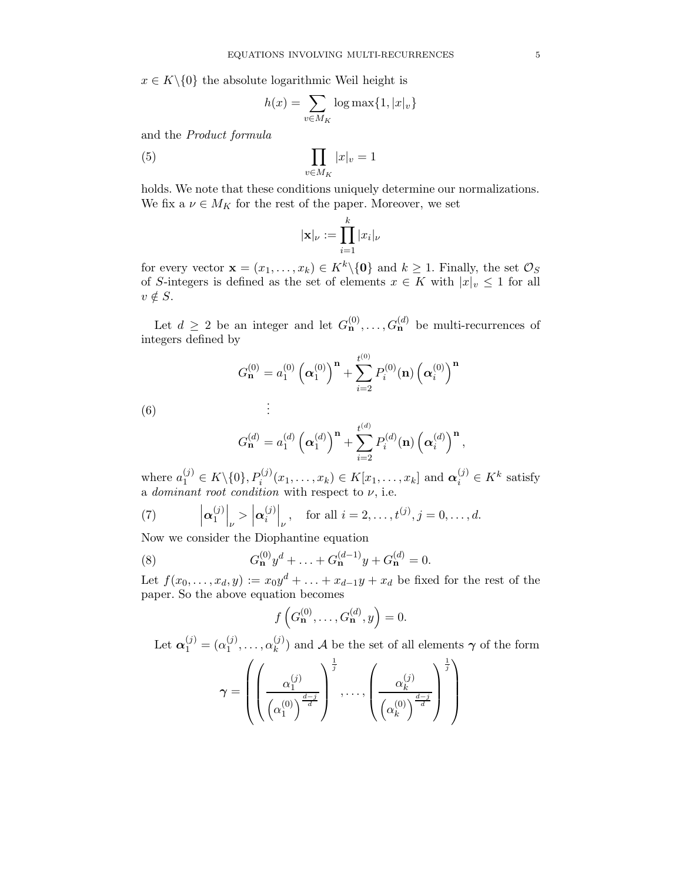$x \in K \setminus \{0\}$  the absolute logarithmic Weil height is

$$
h(x) = \sum_{v \in M_K} \log \max\{1, |x|_v\}
$$

and the Product formula

$$
(5) \qquad \prod_{v \in M_K} |x|_v = 1
$$

holds. We note that these conditions uniquely determine our normalizations. We fix a  $\nu \in M_K$  for the rest of the paper. Moreover, we set

$$
|\mathbf{x}|_{\nu} := \prod_{i=1}^k |x_i|_{\nu}
$$

for every vector  $\mathbf{x} = (x_1, \dots, x_k) \in K^k \setminus \{0\}$  and  $k \geq 1$ . Finally, the set  $\mathcal{O}_S$ of S-integers is defined as the set of elements  $x \in K$  with  $|x|_v \leq 1$  for all  $v \notin S$ .

Let  $d \geq 2$  be an integer and let  $G_{\mathbf{n}}^{(0)}, \ldots, G_{\mathbf{n}}^{(d)}$  be multi-recurrences of integers defined by

$$
G_{\mathbf{n}}^{(0)} = a_1^{(0)} \left( \alpha_1^{(0)} \right)^{\mathbf{n}} + \sum_{i=2}^{t^{(0)}} P_i^{(0)}(\mathbf{n}) \left( \alpha_i^{(0)} \right)^{\mathbf{n}}
$$

$$
\vdots
$$

 $(6)$ 

$$
G_{\mathbf{n}}^{(d)} = a_1^{(d)} \left( \alpha_1^{(d)} \right)^{\mathbf{n}} + \sum_{i=2}^{t^{(d)}} P_i^{(d)}(\mathbf{n}) \left( \alpha_i^{(d)} \right)^{\mathbf{n}},
$$

where  $a_1^{(j)} \in K \backslash \{0\}, P_i^{(j)}$  $\alpha_i^{(j)}(x_1,\ldots,x_k) \in K[x_1,\ldots,x_k]$  and  $\boldsymbol{\alpha}_i^{(j)} \in K^k$  satisfy a *dominant root condition* with respect to  $\nu$ , i.e.

(7) 
$$
\left|\boldsymbol{\alpha}_1^{(j)}\right|_{\nu} > \left|\boldsymbol{\alpha}_i^{(j)}\right|_{\nu}, \text{ for all } i = 2, \ldots, t^{(j)}, j = 0, \ldots, d.
$$

Now we consider the Diophantine equation

(8) 
$$
G_{\mathbf{n}}^{(0)}y^{d} + \ldots + G_{\mathbf{n}}^{(d-1)}y + G_{\mathbf{n}}^{(d)} = 0.
$$

Let  $f(x_0, \ldots, x_d, y) := x_0 y^d + \ldots + x_{d-1} y + x_d$  be fixed for the rest of the paper. So the above equation becomes

$$
f\left(G_{\mathbf{n}}^{(0)},\ldots,G_{\mathbf{n}}^{(d)},y\right)=0.
$$

Let  $\boldsymbol{\alpha}_1^{(j)} = (\alpha_1^{(j)})$  $\alpha_k^{(j)}, \ldots, \alpha_k^{(j)}$  $\binom{U}{k}$  and A be the set of all elements  $\gamma$  of the form

$$
\gamma = \left( \left( \frac{\alpha_1^{(j)}}{\left( \alpha_1^{(0)} \right)^{\frac{d-j}{d}}} \right)^{\frac{1}{j}}, \dots, \left( \frac{\alpha_k^{(j)}}{\left( \alpha_k^{(0)} \right)^{\frac{d-j}{d}}} \right)^{\frac{1}{j}} \right)
$$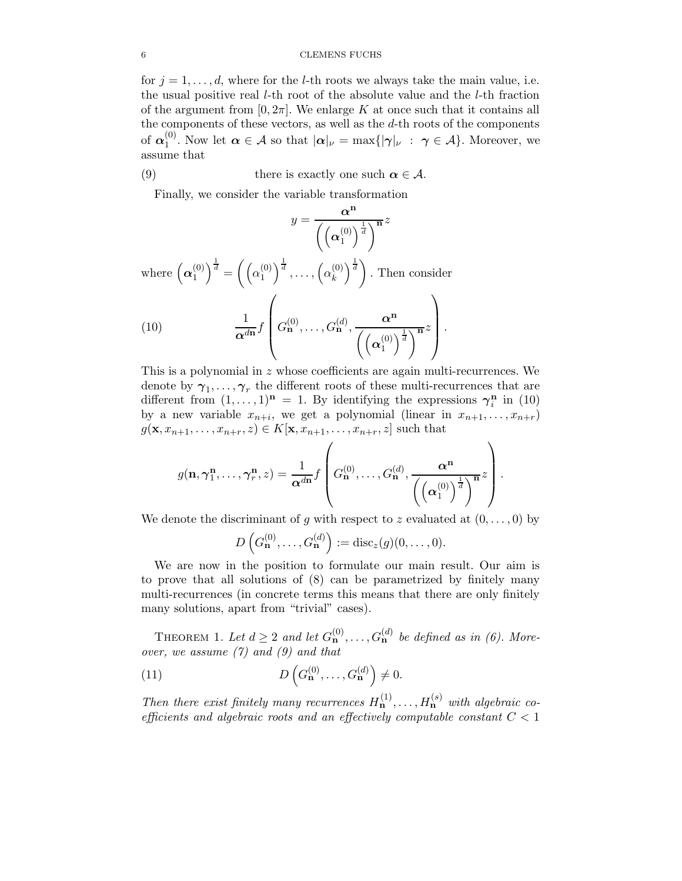for  $j = 1, \ldots, d$ , where for the *l*-th roots we always take the main value, i.e. the usual positive real l-th root of the absolute value and the l-th fraction of the argument from  $[0, 2\pi]$ . We enlarge K at once such that it contains all the components of these vectors, as well as the d-th roots of the components of  $\alpha_1^{(0)}$ <sup>(0)</sup>. Now let  $\alpha \in \mathcal{A}$  so that  $|\alpha|_{\nu} = \max\{|\gamma|_{\nu} : \gamma \in \mathcal{A}\}\.$  Moreover, we assume that

(9) there is exactly one such 
$$
\alpha \in \mathcal{A}
$$
.

Finally, we consider the variable transformation

$$
y = \frac{\alpha^{n}}{\left(\left(\alpha_{1}^{(0)}\right)^{\frac{1}{d}}\right)^{\mathbf{n}}} z
$$
\nwhere  $\left(\alpha_{1}^{(0)}\right)^{\frac{1}{d}} = \left(\left(\alpha_{1}^{(0)}\right)^{\frac{1}{d}}, \dots, \left(\alpha_{k}^{(0)}\right)^{\frac{1}{d}}\right)$ . Then consider\n  
\n(10)\n
$$
\frac{1}{\alpha^{d\mathbf{n}}} f\left(G_{\mathbf{n}}^{(0)}, \dots, G_{\mathbf{n}}^{(d)}, \frac{\alpha^{n}}{\left(\left(\alpha_{1}^{(0)}\right)^{\frac{1}{d}}\right)^{\mathbf{n}}} z\right).
$$

This is a polynomial in z whose coefficients are again multi-recurrences. We denote by  $\gamma_1, \ldots, \gamma_r$  the different roots of these multi-recurrences that are different from  $(1, \ldots, 1)^n = 1$ . By identifying the expressions  $\gamma_i^n$  $\binom{\mathbf{n}}{i}$  in  $(10)$ by a new variable  $x_{n+i}$ , we get a polynomial (linear in  $x_{n+1}, \ldots, x_{n+r}$ )  $g(\mathbf{x}, x_{n+1}, \ldots, x_{n+r}, z) \in K[\mathbf{x}, x_{n+1}, \ldots, x_{n+r}, z]$  such that

$$
g(\mathbf{n}, \boldsymbol{\gamma}_1^{\mathbf{n}}, \dots, \boldsymbol{\gamma}_r^{\mathbf{n}}, z) = \frac{1}{\boldsymbol{\alpha}^{d\mathbf{n}}} f\left(G_{\mathbf{n}}^{(0)}, \dots, G_{\mathbf{n}}^{(d)}, \frac{\boldsymbol{\alpha}^{\mathbf{n}}}{\left(\left(\boldsymbol{\alpha}_1^{(0)}\right)^{\frac{1}{d}}\right)^{\mathbf{n}}}z\right).
$$

We denote the discriminant of g with respect to z evaluated at  $(0, \ldots, 0)$  by

$$
D\left(G_{\mathbf{n}}^{(0)},\ldots,G_{\mathbf{n}}^{(d)}\right):=\mathrm{disc}_z(g)(0,\ldots,0).
$$

We are now in the position to formulate our main result. Our aim is to prove that all solutions of (8) can be parametrized by finitely many multi-recurrences (in concrete terms this means that there are only finitely many solutions, apart from "trivial" cases).

THEOREM 1. Let  $d \geq 2$  and let  $G_{\mathbf{n}}^{(0)}, \ldots, G_{\mathbf{n}}^{(d)}$  be defined as in (6). Moreover, we assume  $(7)$  and  $(9)$  and that

(11) 
$$
D\left(G_{\mathbf{n}}^{(0)},\ldots,G_{\mathbf{n}}^{(d)}\right)\neq 0.
$$

Then there exist finitely many recurrences  $H_{\mathbf{n}}^{(1)}, \ldots, H_{\mathbf{n}}^{(s)}$  with algebraic coefficients and algebraic roots and an effectively computable constant  $C < 1$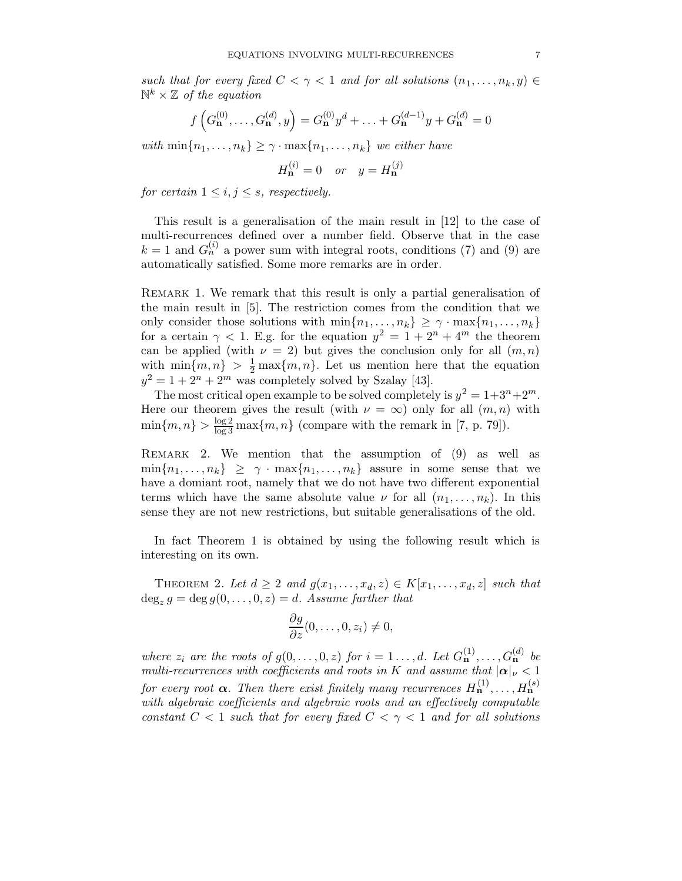such that for every fixed  $C < \gamma < 1$  and for all solutions  $(n_1, \ldots, n_k, y) \in$  $\mathbb{N}^k\times\mathbb{Z}$  of the equation

$$
f\left(G_{\mathbf{n}}^{(0)},\ldots,G_{\mathbf{n}}^{(d)},y\right) = G_{\mathbf{n}}^{(0)}y^{d} + \ldots + G_{\mathbf{n}}^{(d-1)}y + G_{\mathbf{n}}^{(d)} = 0
$$

with  $\min\{n_1,\ldots,n_k\} \geq \gamma \cdot \max\{n_1,\ldots,n_k\}$  we either have

$$
H_{\mathbf{n}}^{(i)} = 0 \quad or \quad y = H_{\mathbf{n}}^{(j)}
$$

for certain  $1 \leq i, j \leq s$ , respectively.

This result is a generalisation of the main result in [12] to the case of multi-recurrences defined over a number field. Observe that in the case  $k = 1$  and  $G_n^{(i)}$  a power sum with integral roots, conditions (7) and (9) are automatically satisfied. Some more remarks are in order.

Remark 1. We remark that this result is only a partial generalisation of the main result in [5]. The restriction comes from the condition that we only consider those solutions with  $\min\{n_1, \ldots, n_k\} \geq \gamma \cdot \max\{n_1, \ldots, n_k\}$ for a certain  $\gamma$  < 1. E.g. for the equation  $y^2 = 1 + 2^n + 4^m$  the theorem can be applied (with  $\nu = 2$ ) but gives the conclusion only for all  $(m, n)$ with  $\min\{m, n\} > \frac{1}{2} \max\{m, n\}$ . Let us mention here that the equation  $y^2 = 1 + 2^n + 2^m$  was completely solved by Szalay [43].

The most critical open example to be solved completely is  $y^2 = 1 + 3^n + 2^m$ . Here our theorem gives the result (with  $\nu = \infty$ ) only for all  $(m, n)$  with  $\min\{m, n\} > \frac{\log 2}{\log 3} \max\{m, n\}$  (compare with the remark in [7, p. 79]).

Remark 2. We mention that the assumption of (9) as well as  $\min\{n_1,\ldots,n_k\} \geq \gamma \cdot \max\{n_1,\ldots,n_k\}$  assure in some sense that we have a domiant root, namely that we do not have two different exponential terms which have the same absolute value  $\nu$  for all  $(n_1, \ldots, n_k)$ . In this sense they are not new restrictions, but suitable generalisations of the old.

In fact Theorem 1 is obtained by using the following result which is interesting on its own.

THEOREM 2. Let  $d \geq 2$  and  $g(x_1, \ldots, x_d, z) \in K[x_1, \ldots, x_d, z]$  such that  $\deg_z g = \deg g(0,\ldots,0,z) = d$ . Assume further that

$$
\frac{\partial g}{\partial z}(0,\ldots,0,z_i)\neq 0,
$$

where  $z_i$  are the roots of  $g(0,\ldots,0,z)$  for  $i=1\ldots,d$ . Let  $G^{(1)}_{n},\ldots,G^{(d)}_{n}$  be multi-recurrences with coefficients and roots in K and assume that  $|\alpha|_{\nu} < 1$ for every root  $\boldsymbol{\alpha}$ . Then there exist finitely many recurrences  $H_{\mathbf{n}}^{(1)},\ldots,H_{\mathbf{n}}^{(s)}$ with algebraic coefficients and algebraic roots and an effectively computable constant  $C < 1$  such that for every fixed  $C < \gamma < 1$  and for all solutions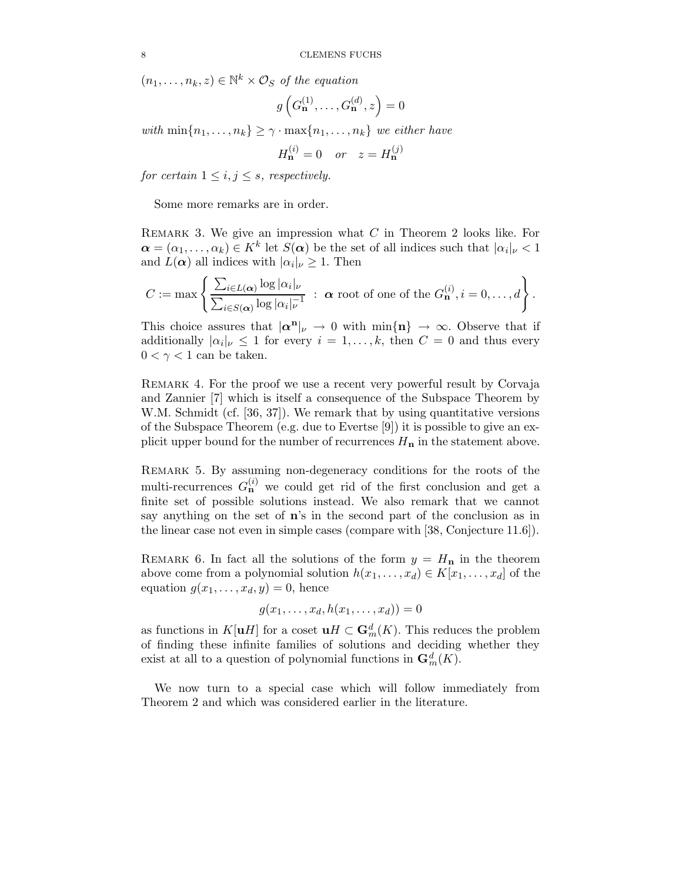$(n_1, \ldots, n_k, z) \in \mathbb{N}^k \times \mathcal{O}_S$  of the equation

$$
g\left(G_{\mathbf{n}}^{(1)},\ldots,G_{\mathbf{n}}^{(d)},z\right)=0
$$

with  $\min\{n_1, \ldots, n_k\} \geq \gamma \cdot \max\{n_1, \ldots, n_k\}$  we either have

$$
H_{\mathbf{n}}^{(i)} = 0 \quad or \quad z = H_{\mathbf{n}}^{(j)}
$$

for certain  $1 \leq i, j \leq s$ , respectively.

Some more remarks are in order.

REMARK 3. We give an impression what  $C$  in Theorem 2 looks like. For  $\boldsymbol{\alpha} = (\alpha_1, \dots, \alpha_k) \in K^k$  let  $S(\boldsymbol{\alpha})$  be the set of all indices such that  $|\alpha_i|_{\nu} < 1$ and  $L(\boldsymbol{\alpha})$  all indices with  $|\alpha_i|_{\nu} \geq 1$ . Then

$$
C := \max \left\{ \frac{\sum_{i \in L(\boldsymbol{\alpha})} \log |\alpha_i|_{\nu}}{\sum_{i \in S(\boldsymbol{\alpha})} \log |\alpha_i|_{\nu}!} : \ \boldsymbol{\alpha} \text{ root of one of the } G_{\mathbf{n}}^{(i)}, i = 0, \ldots, d \right\}.
$$

This choice assures that  $|\alpha^n|_{\nu} \to 0$  with  $\min\{n\} \to \infty$ . Observe that if additionally  $|\alpha_i|_{\nu} \leq 1$  for every  $i = 1, ..., k$ , then  $C = 0$  and thus every  $0 < \gamma < 1$  can be taken.

Remark 4. For the proof we use a recent very powerful result by Corvaja and Zannier [7] which is itself a consequence of the Subspace Theorem by W.M. Schmidt (cf. [36, 37]). We remark that by using quantitative versions of the Subspace Theorem (e.g. due to Evertse [9]) it is possible to give an explicit upper bound for the number of recurrences  $H_{\mathbf{n}}$  in the statement above.

Remark 5. By assuming non-degeneracy conditions for the roots of the multi-recurrences  $G_{\mathbf{n}}^{(i)}$  we could get rid of the first conclusion and get a finite set of possible solutions instead. We also remark that we cannot say anything on the set of n's in the second part of the conclusion as in the linear case not even in simple cases (compare with [38, Conjecture 11.6]).

REMARK 6. In fact all the solutions of the form  $y = H_n$  in the theorem above come from a polynomial solution  $h(x_1, \ldots, x_d) \in K[x_1, \ldots, x_d]$  of the equation  $g(x_1, \ldots, x_d, y) = 0$ , hence

$$
g(x_1,\ldots,x_d,h(x_1,\ldots,x_d))=0
$$

as functions in  $K[\mathbf{u}H]$  for a coset  $\mathbf{u}H \subset \mathbf{G}_m^d(K)$ . This reduces the problem of finding these infinite families of solutions and deciding whether they exist at all to a question of polynomial functions in  $\mathbf{G}_m^d(K)$ .

We now turn to a special case which will follow immediately from Theorem 2 and which was considered earlier in the literature.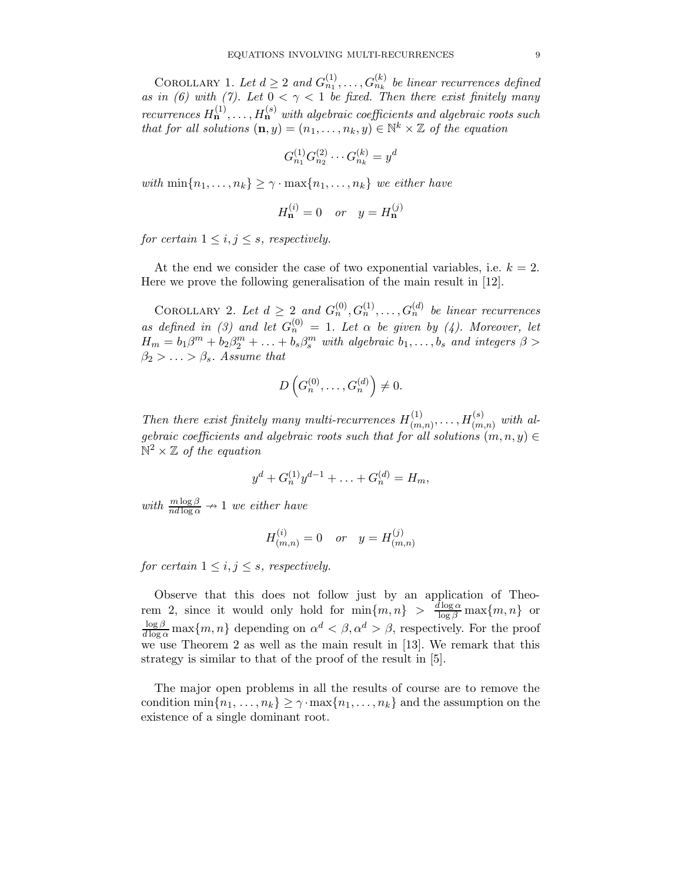COROLLARY 1. Let  $d \geq 2$  and  $G_{n_1}^{(1)}, \ldots, G_{n_k}^{(k)}$  be linear recurrences defined as in (6) with (7). Let  $0 < \gamma < 1$  be fixed. Then there exist finitely many recurrences  $H_{\mathbf{n}}^{(1)}, \ldots, H_{\mathbf{n}}^{(s)}$  with algebraic coefficients and algebraic roots such that for all solutions  $(\mathbf{n}, y) = (n_1, \dots, n_k, y) \in \mathbb{N}^k \times \mathbb{Z}$  of the equation

$$
G_{n_1}^{(1)}G_{n_2}^{(2)}\cdots G_{n_k}^{(k)}=y^d
$$

with  $\min\{n_1,\ldots,n_k\} \geq \gamma \cdot \max\{n_1,\ldots,n_k\}$  we either have

$$
H_{\mathbf{n}}^{(i)} = 0 \quad or \quad y = H_{\mathbf{n}}^{(j)}
$$

for certain  $1 \leq i, j \leq s$ , respectively.

At the end we consider the case of two exponential variables, i.e.  $k = 2$ . Here we prove the following generalisation of the main result in [12].

COROLLARY 2. Let  $d \geq 2$  and  $G_n^{(0)}, G_n^{(1)}, \ldots, G_n^{(d)}$  be linear recurrences as defined in (3) and let  $G_n^{(0)} = 1$ . Let  $\alpha$  be given by (4). Moreover, let  $H_m = b_1\beta^m + b_2\beta^m_2 + \ldots + b_s\beta^m_s$  with algebraic  $b_1, \ldots, b_s$  and integers  $\beta >$  $\beta_2 > \ldots > \beta_s$ . Assume that

$$
D\left(G_n^{(0)},\ldots,G_n^{(d)}\right)\neq 0.
$$

Then there exist finitely many multi-recurrences  $H_{(m)}^{(1)}$  $\chi^{(1)}_{(m,n)}, \ldots, H^{(s)}_{(m)}$  $\binom{(s)}{(m,n)}$  with algebraic coefficients and algebraic roots such that for all solutions  $(m, n, y) \in$  $\mathbb{N}^2 \times \mathbb{Z}$  of the equation

$$
y^{d} + G_n^{(1)}y^{d-1} + \ldots + G_n^{(d)} = H_m,
$$

with  $\frac{m \log \beta}{nd \log \alpha} \rightarrow 1$  we either have

$$
H_{(m,n)}^{(i)} = 0 \quad or \quad y = H_{(m,n)}^{(j)}
$$

for certain  $1 \leq i, j \leq s$ , respectively.

Observe that this does not follow just by an application of Theorem 2, since it would only hold for  $\min\{m, n\} > \frac{d \log \alpha}{\log \beta} \max\{m, n\}$  or  $\frac{\log \beta}{d \log \alpha} \max\{m, n\}$  depending on  $\alpha^d < \beta, \alpha^d > \beta$ , respectively. For the proof we use Theorem 2 as well as the main result in [13]. We remark that this strategy is similar to that of the proof of the result in [5].

The major open problems in all the results of course are to remove the condition  $\min\{n_1,\ldots,n_k\} \geq \gamma \cdot \max\{n_1,\ldots,n_k\}$  and the assumption on the existence of a single dominant root.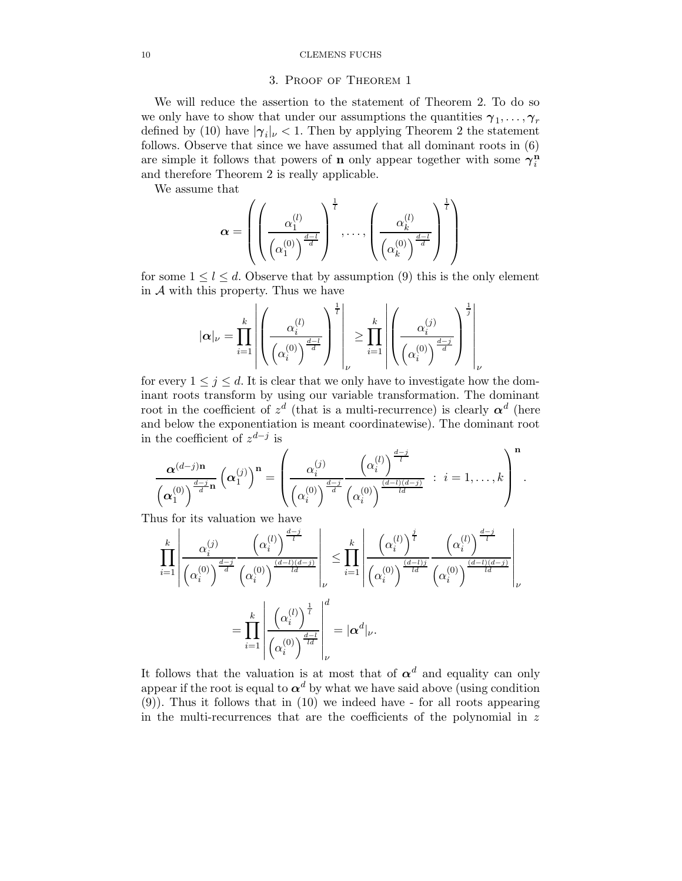## 3. Proof of Theorem 1

We will reduce the assertion to the statement of Theorem 2. To do so we only have to show that under our assumptions the quantities  $\gamma_1, \ldots, \gamma_r$ defined by (10) have  $|\gamma_i|_{\nu} < 1$ . Then by applying Theorem 2 the statement follows. Observe that since we have assumed that all dominant roots in (6) are simple it follows that powers of **n** only appear together with some  $\gamma_i^{\hat{n}}$ i and therefore Theorem 2 is really applicable.

We assume that

$$
\boldsymbol{\alpha} = \left( \left( \frac{\alpha_1^{(l)}}{\left( \alpha_1^{(0)} \right)^{\frac{d-l}{d}}} \right)^{\frac{1}{l}}, \dots, \left( \frac{\alpha_k^{(l)}}{\left( \alpha_k^{(0)} \right)^{\frac{d-l}{d}}} \right)^{\frac{1}{l}} \right)
$$

for some  $1 \leq l \leq d$ . Observe that by assumption (9) this is the only element in  $A$  with this property. Thus we have

$$
|\alpha|_{\nu} = \prod_{i=1}^k \left| \left(\frac{\alpha_i^{(l)}}{\left(\alpha_i^{(0)}\right)^{\frac{d-l}{d}}}\right)^{\frac{1}{l}}\right|_{\nu} \ge \prod_{i=1}^k \left| \left(\frac{\alpha_i^{(j)}}{\left(\alpha_i^{(0)}\right)^{\frac{d-j}{d}}}\right)^{\frac{1}{j}}\right|_{\nu}
$$

for every  $1 \leq j \leq d$ . It is clear that we only have to investigate how the dominant roots transform by using our variable transformation. The dominant root in the coefficient of  $z^d$  (that is a multi-recurrence) is clearly  $\boldsymbol{\alpha}^d$  (here and below the exponentiation is meant coordinatewise). The dominant root in the coefficient of  $z^{d-j}$  is

$$
\frac{\alpha^{(d-j)n}}{\left(\alpha_1^{(0)}\right)^{\frac{d-j}{d}n}}\left(\alpha_1^{(j)}\right)^n = \left(\frac{\alpha_i^{(j)}}{\left(\alpha_i^{(0)}\right)^{\frac{d-j}{d}}}\frac{\left(\alpha_i^{(l)}\right)^{\frac{d-j}{l}}}{\left(\alpha_i^{(0)}\right)^{\frac{(d-l)(d-j)}{ld}}} \; : \; i = 1,\ldots,k\right)^n.
$$

Thus for its valuation we have

$$
\prod_{i=1}^k \left| \frac{\alpha_i^{(j)}}{\left(\alpha_i^{(0)}\right)^{\frac{d-j}{d}} \left(\alpha_i^{(0)}\right)^{\frac{d-j}{(d)}}} \right|_{\nu} \leq \prod_{i=1}^k \left| \frac{\left(\alpha_i^{(l)}\right)^{\frac{j}{l}}}{\left(\alpha_i^{(0)}\right)^{\frac{(d-l)(d-j)}{ld}}} \right|_{\nu}
$$
\n
$$
= \prod_{i=1}^k \left| \frac{\left(\alpha_i^{(l)}\right)^{\frac{1}{l}}}{\left(\alpha_i^{(0)}\right)^{\frac{1}{l}}}\right|_{\nu}^d = |\alpha^d|_{\nu}.
$$

It follows that the valuation is at most that of  $\alpha^d$  and equality can only appear if the root is equal to  $\alpha^d$  by what we have said above (using condition (9)). Thus it follows that in (10) we indeed have - for all roots appearing in the multi-recurrences that are the coefficients of the polynomial in  $z$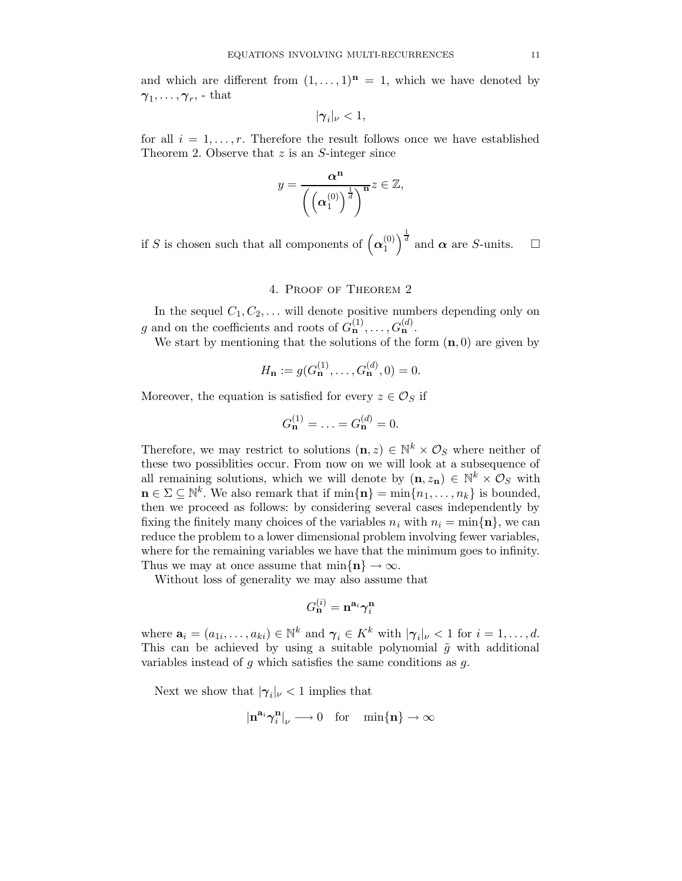and which are different from  $(1, \ldots, 1)^n = 1$ , which we have denoted by  $\boldsymbol{\gamma}_1,\dots,\boldsymbol{\gamma}_r,$  - that

$$
|\boldsymbol{\gamma}_i|_{\nu}<1,
$$

for all  $i = 1, \ldots, r$ . Therefore the result follows once we have established Theorem 2. Observe that  $z$  is an  $S$ -integer since

$$
y = \frac{\alpha^n}{\left(\left(\alpha_1^{(0)}\right)^{\frac{1}{d}}\right)^n} \leq \mathbb{Z},
$$

if S is chosen such that all components of  $\left(\boldsymbol{\alpha}_1^{(0)}\right)$  $\binom{0}{1}$  $\frac{1}{d}$  and  $\alpha$  are *S*-units.  $\square$ 

# 4. Proof of Theorem 2

In the sequel  $C_1, C_2, \ldots$  will denote positive numbers depending only on g and on the coefficients and roots of  $G_{\mathbf{n}}^{(1)}, \ldots, G_{\mathbf{n}}^{(d)}$ .

We start by mentioning that the solutions of the form  $(n, 0)$  are given by

$$
H_{\mathbf{n}} := g(G_{\mathbf{n}}^{(1)}, \dots, G_{\mathbf{n}}^{(d)}, 0) = 0.
$$

Moreover, the equation is satisfied for every  $z \in \mathcal{O}_S$  if

$$
G_{\mathbf{n}}^{(1)} = \ldots = G_{\mathbf{n}}^{(d)} = 0.
$$

Therefore, we may restrict to solutions  $(\mathbf{n}, z) \in \mathbb{N}^k \times \mathcal{O}_S$  where neither of these two possiblities occur. From now on we will look at a subsequence of all remaining solutions, which we will denote by  $(\mathbf{n}, z_{\mathbf{n}}) \in \mathbb{N}^k \times \mathcal{O}_S$  with  $\mathbf{n} \in \Sigma \subseteq \mathbb{N}^k$ . We also remark that if  $\min\{\mathbf{n}\} = \min\{n_1, \ldots, n_k\}$  is bounded, then we proceed as follows: by considering several cases independently by fixing the finitely many choices of the variables  $n_i$  with  $n_i = \min\{\mathbf{n}\}\$ , we can reduce the problem to a lower dimensional problem involving fewer variables, where for the remaining variables we have that the minimum goes to infinity. Thus we may at once assume that  $\min\{\mathbf{n}\}\to\infty$ .

Without loss of generality we may also assume that

$$
G_{\mathbf{n}}^{(i)} = \mathbf{n}^{\mathbf{a}_i} \boldsymbol{\gamma}_i^{\mathbf{n}}
$$

where  $\mathbf{a}_i = (a_{1i}, \dots, a_{ki}) \in \mathbb{N}^k$  and  $\gamma_i \in K^k$  with  $|\gamma_i|_{\nu} < 1$  for  $i = 1, \dots, d$ . This can be achieved by using a suitable polynomial  $\tilde{g}$  with additional variables instead of  $q$  which satisfies the same conditions as  $q$ .

Next we show that  $|\gamma_i|_{\nu} < 1$  implies that

$$
|\mathbf{n}^{\mathbf{a}_i}\boldsymbol{\gamma}_i^{\mathbf{n}}|_\nu\longrightarrow 0\quad\text{for}\quad\min\{\mathbf{n}\}\to\infty
$$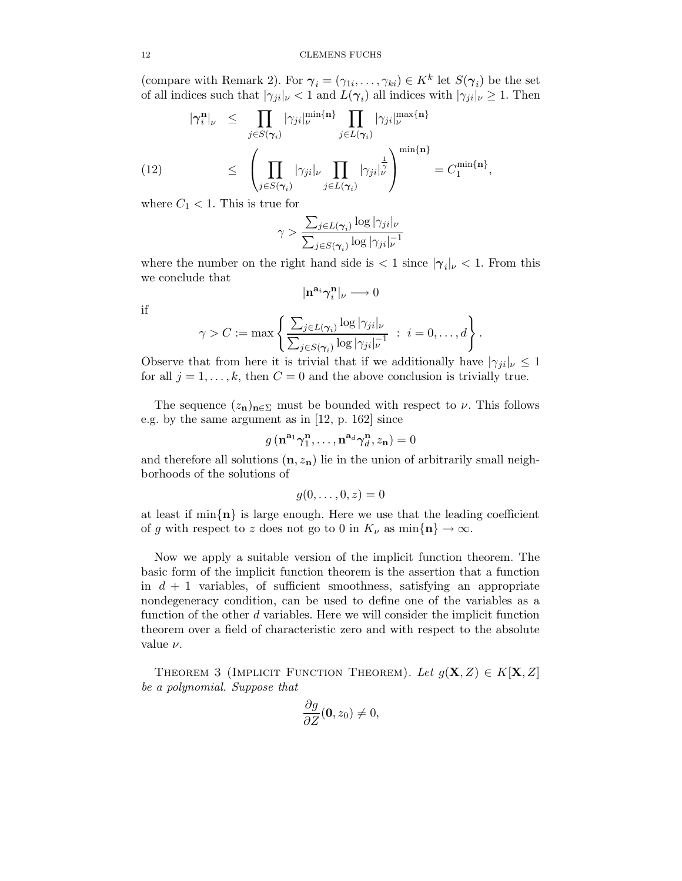(compare with Remark 2). For  $\gamma_i = (\gamma_{1i}, \dots, \gamma_{ki}) \in K^k$  let  $S(\gamma_i)$  be the set of all indices such that  $|\gamma_{ji}|_{\nu} < 1$  and  $L(\gamma_i)$  all indices with  $|\gamma_{ji}|_{\nu} \geq 1$ . Then

$$
|\gamma_i^n|_{\nu} \leq \prod_{j \in S(\gamma_i)} |\gamma_{ji}|_{\nu}^{\min\{n\}} \prod_{j \in L(\gamma_i)} |\gamma_{ji}|_{\nu}^{\max\{n\}} \leq \left(\prod_{j \in S(\gamma_i)} |\gamma_{ji}|_{\nu} \prod_{j \in L(\gamma_i)} |\gamma_{ji}|_{\nu}^{\frac{1}{n}}\right)^{\min\{n\}} = C_1^{\min\{n\}},
$$

where  $C_1 < 1$ . This is true for

$$
\gamma > \frac{\sum_{j \in L(\boldsymbol{\gamma}_i)} \log |\gamma_{ji}|_{\nu}}{\sum_{j \in S(\boldsymbol{\gamma}_i)} \log |\gamma_{ji}|_{\nu}^{-1}}
$$

where the number on the right hand side is  $\langle 1 \text{ since } |\gamma_i|_{\nu} \langle 1 \rangle$ . From this we conclude that

$$
|\mathbf{n}^{\mathbf{a}_i}\pmb{\gamma}_i^{\mathbf{n}}|_\nu\longrightarrow 0
$$

if

$$
\gamma > C := \max \left\{ \frac{\sum_{j \in L(\gamma_i)} \log |\gamma_{ji}|_{\nu}}{\sum_{j \in S(\gamma_i)} \log |\gamma_{ji}|_{\nu}^{-1}} : i = 0, \ldots, d \right\}.
$$

Observe that from here it is trivial that if we additionally have  $|\gamma_{ji}|_{\nu} \leq 1$ for all  $j = 1, \ldots, k$ , then  $C = 0$  and the above conclusion is trivially true.

The sequence  $(z_n)_{n \in \Sigma}$  must be bounded with respect to  $\nu$ . This follows e.g. by the same argument as in [12, p. 162] since

$$
g\left(\mathbf{n}^{\mathbf{a}_1}\boldsymbol{\gamma}^{\mathbf{n}}_1,\ldots,\mathbf{n}^{\mathbf{a}_d}\boldsymbol{\gamma}^{\mathbf{n}}_d,z_{\mathbf{n}}\right)=0
$$

and therefore all solutions  $(n, z_n)$  lie in the union of arbitrarily small neighborhoods of the solutions of

$$
g(0,\ldots,0,z)=0
$$

at least if  $\min\{n\}$  is large enough. Here we use that the leading coefficient of g with respect to z does not go to 0 in  $K_{\nu}$  as  $\min\{\mathbf{n}\}\to\infty$ .

Now we apply a suitable version of the implicit function theorem. The basic form of the implicit function theorem is the assertion that a function in  $d + 1$  variables, of sufficient smoothness, satisfying an appropriate nondegeneracy condition, can be used to define one of the variables as a function of the other d variables. Here we will consider the implicit function theorem over a field of characteristic zero and with respect to the absolute value  $\nu$ .

THEOREM 3 (IMPLICIT FUNCTION THEOREM). Let  $g(\mathbf{X},Z) \in K[\mathbf{X},Z]$ be a polynomial. Suppose that

$$
\frac{\partial g}{\partial Z}(\mathbf{0}, z_0) \neq 0,
$$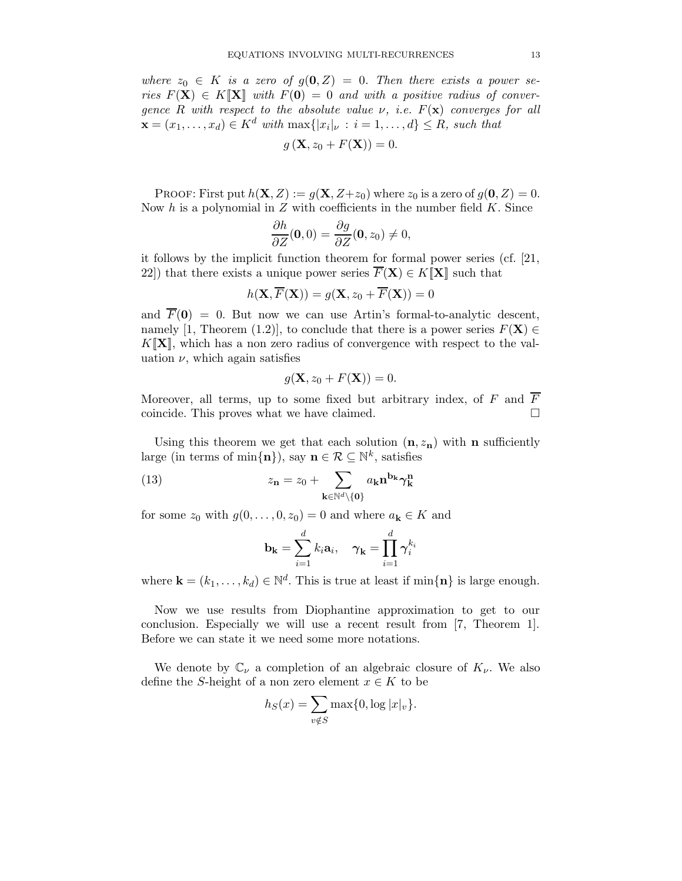where  $z_0 \in K$  is a zero of  $g(0, Z) = 0$ . Then there exists a power series  $F(X) \in K[X]$  with  $F(0) = 0$  and with a positive radius of convergence R with respect to the absolute value  $\nu$ , i.e.  $F(\mathbf{x})$  converges for all  $\mathbf{x} = (x_1, \dots, x_d) \in K^d$  with  $\max\{|x_i|_{\nu} : i = 1, \dots, d\} \leq R$ , such that

$$
g\left(\mathbf{X}, z_0 + F(\mathbf{X})\right) = 0.
$$

PROOF: First put  $h(\mathbf{X}, Z) := g(\mathbf{X}, Z + z_0)$  where  $z_0$  is a zero of  $g(\mathbf{0}, Z) = 0$ . Now  $h$  is a polynomial in  $Z$  with coefficients in the number field  $K$ . Since

$$
\frac{\partial h}{\partial Z}(\mathbf{0},0) = \frac{\partial g}{\partial Z}(\mathbf{0},z_0) \neq 0,
$$

it follows by the implicit function theorem for formal power series (cf. [21, 22) that there exists a unique power series  $\overline{F}(\mathbf{X}) \in K[\mathbf{X}]$  such that

$$
h(\mathbf{X}, \overline{F}(\mathbf{X})) = g(\mathbf{X}, z_0 + \overline{F}(\mathbf{X})) = 0
$$

and  $\overline{F}(0) = 0$ . But now we can use Artin's formal-to-analytic descent, namely [1, Theorem (1.2)], to conclude that there is a power series  $F(\mathbf{X}) \in$  $K[\mathbf{X}]$ , which has a non zero radius of convergence with respect to the valuation  $\nu$ , which again satisfies

$$
g(\mathbf{X}, z_0 + F(\mathbf{X})) = 0.
$$

Moreover, all terms, up to some fixed but arbitrary index, of F and  $\overline{F}$ coincide. This proves what we have claimed.

Using this theorem we get that each solution  $(n, z_n)$  with n sufficiently large (in terms of  $\min\{\mathbf{n}\}\},\$  say  $\mathbf{n} \in \mathcal{R} \subseteq \mathbb{N}^k$ , satisfies

(13) 
$$
z_{\mathbf{n}} = z_0 + \sum_{\mathbf{k} \in \mathbb{N}^d \setminus \{\mathbf{0}\}} a_{\mathbf{k}} \mathbf{n}^{\mathbf{b}_{\mathbf{k}}} \gamma_{\mathbf{k}}^{\mathbf{n}}
$$

for some  $z_0$  with  $g(0, \ldots, 0, z_0) = 0$  and where  $a_k \in K$  and

$$
\mathbf{b}_{\mathbf{k}} = \sum_{i=1}^{d} k_i \mathbf{a}_i, \quad \boldsymbol{\gamma}_{\mathbf{k}} = \prod_{i=1}^{d} \boldsymbol{\gamma}_i^{k_i}
$$

where  $\mathbf{k} = (k_1, \ldots, k_d) \in \mathbb{N}^d$ . This is true at least if  $\min\{\mathbf{n}\}\$ is large enough.

Now we use results from Diophantine approximation to get to our conclusion. Especially we will use a recent result from [7, Theorem 1]. Before we can state it we need some more notations.

We denote by  $\mathbb{C}_{\nu}$  a completion of an algebraic closure of  $K_{\nu}$ . We also define the S-height of a non zero element  $x \in K$  to be

$$
h_S(x) = \sum_{v \notin S} \max\{0, \log |x|_v\}.
$$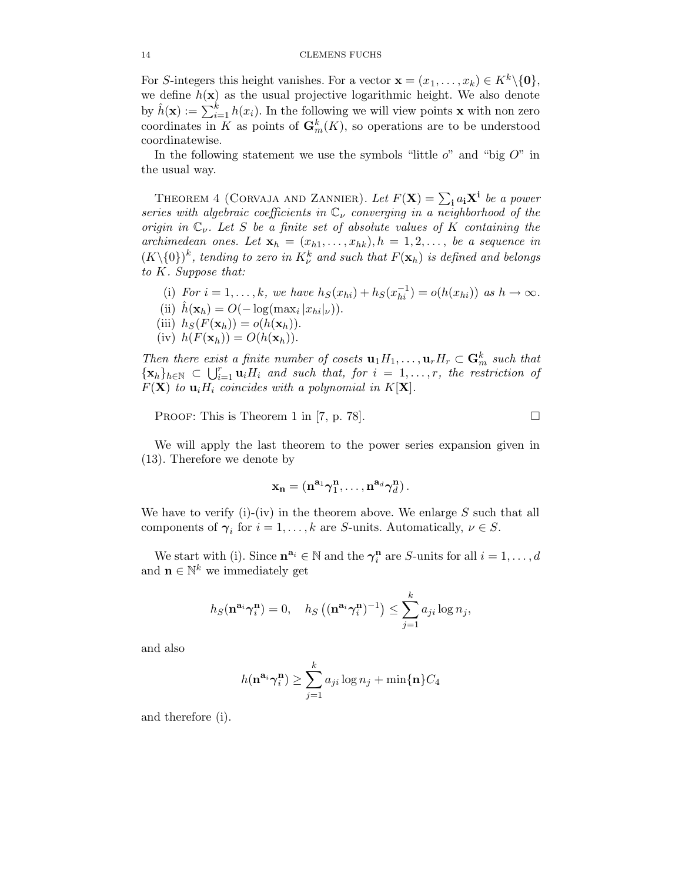For S-integers this height vanishes. For a vector  $\mathbf{x} = (x_1, \dots, x_k) \in K^k \setminus \{0\},\$ we define  $h(\mathbf{x})$  as the usual projective logarithmic height. We also denote by  $\hat{h}(\mathbf{x}) := \sum_{i=1}^{k} h(x_i)$ . In the following we will view points **x** with non zero coordinates in K as points of  $\mathbf{G}_m^k(K)$ , so operations are to be understood coordinatewise.

In the following statement we use the symbols "little  $o$ " and "big  $O$ " in the usual way.

THEOREM 4 (CORVAJA AND ZANNIER). Let  $F(\mathbf{X}) = \sum_{\mathbf{i}} a_{\mathbf{i}} \mathbf{X}^{\mathbf{i}}$  be a power series with algebraic coefficients in  $\mathbb{C}_{\nu}$  converging in a neighborhood of the origin in  $\mathbb{C}_{\nu}$ . Let S be a finite set of absolute values of K containing the archimedean ones. Let  $\mathbf{x}_h = (x_{h1}, \ldots, x_{hk}), h = 1, 2, \ldots,$  be a sequence in  $(K\backslash\{0\})^k$ , tending to zero in  $K^k_\nu$  and such that  $F(\mathbf{x}_h)$  is defined and belongs to K. Suppose that:

(i) For  $i = 1, ..., k$ , we have  $h_S(x_{hi}) + h_S(x_{hi}^{-1}) = o(h(x_{hi}))$  as  $h \to \infty$ . (ii)  $\hat{h}(\mathbf{x}_h) = O(-\log(\max_i |x_{hi}|\nu)).$ (iii)  $h_S(F(\mathbf{x}_h)) = o(h(\mathbf{x}_h)).$ (iv)  $h(F(\mathbf{x}_h)) = O(h(\mathbf{x}_h)).$ 

Then there exist a finite number of cosets  $\mathbf{u}_1 H_1, \ldots, \mathbf{u}_r H_r \subset \mathbf{G}_m^k$  such that  ${x_h}_{h\in\mathbb{N}}$   $\subset \bigcup_{i=1}^r \mathbf{u}_i H_i$  and such that, for  $i = 1, \ldots, r$ , the restriction of  $F(\mathbf{X})$  to  $\mathbf{u}_i H_i$  coincides with a polynomial in  $K[\mathbf{X}]$ .

PROOF: This is Theorem 1 in [7, p. 78].

We will apply the last theorem to the power series expansion given in (13). Therefore we denote by

$$
\mathbf{x_n} = (\mathbf{n}^{\mathbf{a}_1} \boldsymbol{\gamma}_1^{\mathbf{n}}, \dots, \mathbf{n}^{\mathbf{a}_d} \boldsymbol{\gamma}_d^{\mathbf{n}}).
$$

We have to verify (i)-(iv) in the theorem above. We enlarge  $S$  such that all components of  $\gamma_i$  for  $i = 1, ..., k$  are S-units. Automatically,  $\nu \in S$ .

We start with (i). Since  $\mathbf{n}^{\mathbf{a}_i} \in \mathbb{N}$  and the  $\boldsymbol{\gamma}_i^{\mathbf{n}}$  $i_i^n$  are *S*-units for all  $i = 1, \ldots, d$ and  $\mathbf{n} \in \mathbb{N}^k$  we immediately get

$$
h_S(\mathbf{n}^{\mathbf{a}_i}\boldsymbol{\gamma}_i^{\mathbf{n}})=0, \quad h_S\left((\mathbf{n}^{\mathbf{a}_i}\boldsymbol{\gamma}_i^{\mathbf{n}})^{-1}\right) \leq \sum_{j=1}^k a_{ji}\log n_j,
$$

and also

$$
h(\mathbf{n}^{\mathbf{a}_i}\boldsymbol{\gamma}_i^{\mathbf{n}}) \ge \sum_{j=1}^k a_{ji}\log n_j + \min\{\mathbf{n}\}C_4
$$

and therefore (i).

$$
\Box
$$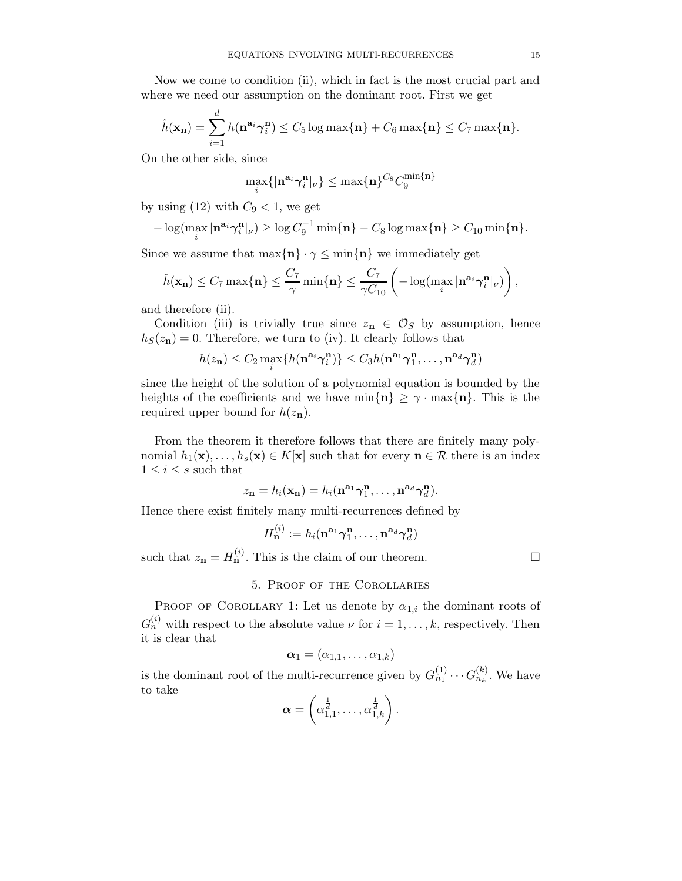Now we come to condition (ii), which in fact is the most crucial part and where we need our assumption on the dominant root. First we get

$$
\hat{h}(\mathbf{x_n}) = \sum_{i=1}^d h(\mathbf{n}^{\mathbf{a}_i} \boldsymbol{\gamma}_i^{\mathbf{n}}) \le C_5 \log \max\{\mathbf{n}\} + C_6 \max\{\mathbf{n}\} \le C_7 \max\{\mathbf{n}\}.
$$

On the other side, since

$$
\max_i\{|\mathbf{n}^{\mathbf{a}_i}\boldsymbol{\gamma}_i^{\mathbf{n}}|_{\nu}\} \leq \max\{\mathbf{n}\}^{C_8}C_9^{\min\{\mathbf{n}\}}
$$

by using (12) with  $C_9 < 1$ , we get

$$
-\log(\max_i|\mathbf{n}^{\mathbf{a}_i}\boldsymbol{\gamma}_i^{\mathbf{n}}|_{\nu}) \geq \log C_9^{-1}\min\{\mathbf{n}\}-C_8\log\max\{\mathbf{n}\}\geq C_{10}\min\{\mathbf{n}\}.
$$

Since we assume that  $\max\{\mathbf{n}\}\cdot\gamma \leq \min\{\mathbf{n}\}\$  we immediately get

$$
\hat{h}(\mathbf{x_n}) \leq C_7 \max\{\mathbf{n}\} \leq \frac{C_7}{\gamma} \min\{\mathbf{n}\} \leq \frac{C_7}{\gamma C_{10}} \left( -\log(\max_i|\mathbf{n}^{\mathbf{a}_i} \boldsymbol{\gamma}_i^{\mathbf{n}}|_{\nu}) \right),
$$

and therefore (ii).

Condition (iii) is trivially true since  $z_n \in \mathcal{O}_S$  by assumption, hence  $h<sub>S</sub>(z<sub>n</sub>) = 0$ . Therefore, we turn to (iv). It clearly follows that

$$
h(z_{\mathbf{n}}) \leq C_2 \max_{i} \{ h(\mathbf{n}^{\mathbf{a}_i} \boldsymbol{\gamma}_i^{\mathbf{n}}) \} \leq C_3 h(\mathbf{n}^{\mathbf{a}_1} \boldsymbol{\gamma}_1^{\mathbf{n}}, \dots, \mathbf{n}^{\mathbf{a}_d} \boldsymbol{\gamma}_d^{\mathbf{n}})
$$

since the height of the solution of a polynomial equation is bounded by the heights of the coefficients and we have  $\min\{\mathbf{n}\}\geq \gamma \cdot \max\{\mathbf{n}\}\$ . This is the required upper bound for  $h(z_n)$ .

From the theorem it therefore follows that there are finitely many polynomial  $h_1(\mathbf{x}), \ldots, h_s(\mathbf{x}) \in K[\mathbf{x}]$  such that for every  $\mathbf{n} \in \mathcal{R}$  there is an index  $1 \leq i \leq s$  such that

$$
z_{\mathbf{n}} = h_i(\mathbf{x}_{\mathbf{n}}) = h_i(\mathbf{n}^{\mathbf{a}_1} \boldsymbol{\gamma}_1^{\mathbf{n}}, \dots, \mathbf{n}^{\mathbf{a}_d} \boldsymbol{\gamma}_d^{\mathbf{n}}).
$$

Hence there exist finitely many multi-recurrences defined by

$$
H_{\mathbf{n}}^{(i)} := h_i(\mathbf{n}^{\mathbf{a}_1} \boldsymbol{\gamma}_1^{\mathbf{n}}, \dots, \mathbf{n}^{\mathbf{a}_d} \boldsymbol{\gamma}_d^{\mathbf{n}})
$$

such that  $z_{\mathbf{n}} = H_{\mathbf{n}}^{(i)}$ . This is the claim of our theorem.

# 5. Proof of the Corollaries

PROOF OF COROLLARY 1: Let us denote by  $\alpha_{1,i}$  the dominant roots of  $G_n^{(i)}$  with respect to the absolute value  $\nu$  for  $i = 1, \ldots, k$ , respectively. Then it is clear that

$$
\boldsymbol{\alpha}_1=(\alpha_{1,1},\ldots,\alpha_{1,k})
$$

is the dominant root of the multi-recurrence given by  $G_{n_1}^{(1)} \cdots G_{n_k}^{(k)}$ . We have to take

$$
\boldsymbol{\alpha} = \left(\alpha_{1,1}^{\frac{1}{d}}, \ldots, \alpha_{1,k}^{\frac{1}{d}}\right).
$$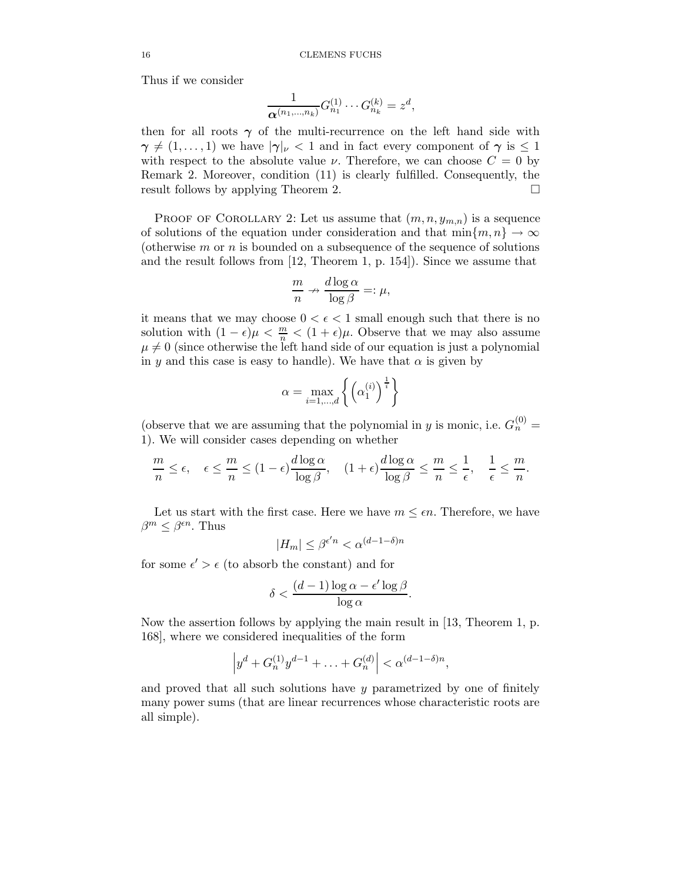Thus if we consider

$$
\frac{1}{\boldsymbol{\alpha}^{(n_1,\ldots,n_k)}}G_{n_1}^{(1)}\cdots G_{n_k}^{(k)}=z^d,
$$

then for all roots  $\gamma$  of the multi-recurrence on the left hand side with  $\gamma \neq (1, \ldots, 1)$  we have  $|\gamma|_{\nu} < 1$  and in fact every component of  $\gamma$  is  $\leq 1$ with respect to the absolute value  $\nu$ . Therefore, we can choose  $C = 0$  by Remark 2. Moreover, condition (11) is clearly fulfilled. Consequently, the result follows by applying Theorem 2.

PROOF OF COROLLARY 2: Let us assume that  $(m, n, y_{m,n})$  is a sequence of solutions of the equation under consideration and that  $\min\{m, n\} \to \infty$ (otherwise  $m$  or  $n$  is bounded on a subsequence of the sequence of solutions and the result follows from [12, Theorem 1, p. 154]). Since we assume that

$$
\frac{m}{n} \nrightarrow \frac{d \log \alpha}{\log \beta} =: \mu,
$$

it means that we may choose  $0 < \epsilon < 1$  small enough such that there is no solution with  $(1 - \epsilon)\mu < \frac{m}{n} < (1 + \epsilon)\mu$ . Observe that we may also assume  $\mu \neq 0$  (since otherwise the left hand side of our equation is just a polynomial in y and this case is easy to handle). We have that  $\alpha$  is given by

$$
\alpha = \max_{i=1,\dots,d} \left\{ \left( \alpha_1^{(i)} \right)^{\frac{1}{i}} \right\}
$$

(observe that we are assuming that the polynomial in y is monic, i.e.  $G_n^{(0)} =$ 1). We will consider cases depending on whether

$$
\frac{m}{n} \le \epsilon, \quad \epsilon \le \frac{m}{n} \le (1 - \epsilon) \frac{d \log \alpha}{\log \beta}, \quad (1 + \epsilon) \frac{d \log \alpha}{\log \beta} \le \frac{m}{n} \le \frac{1}{\epsilon}, \quad \frac{1}{\epsilon} \le \frac{m}{n}.
$$

Let us start with the first case. Here we have  $m \leq \epsilon n$ . Therefore, we have  $\beta^m \leq \beta^{\epsilon n}$ . Thus

$$
|H_m| \leq \beta^{\epsilon'n} < \alpha^{(d-1-\delta)n}
$$

for some  $\epsilon' > \epsilon$  (to absorb the constant) and for

$$
\delta < \frac{(d-1)\log \alpha - \epsilon' \log \beta}{\log \alpha}
$$

.

Now the assertion follows by applying the main result in [13, Theorem 1, p. 168], where we considered inequalities of the form

$$
\left| y^d + G_n^{(1)} y^{d-1} + \ldots + G_n^{(d)} \right| < \alpha^{(d-1-\delta)n},
$$

and proved that all such solutions have y parametrized by one of finitely many power sums (that are linear recurrences whose characteristic roots are all simple).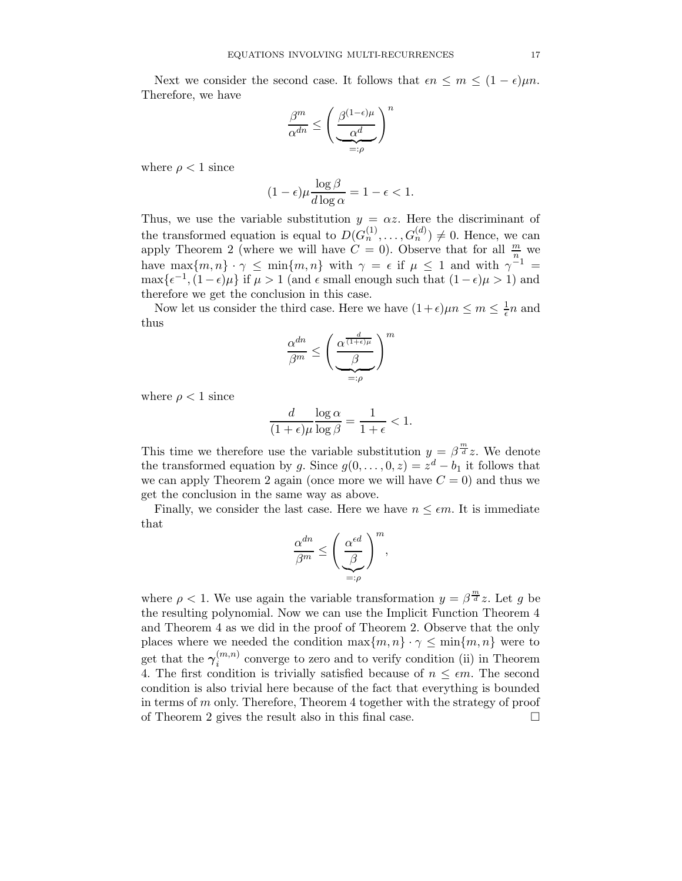Next we consider the second case. It follows that  $\epsilon n \leq m \leq (1 - \epsilon)\mu n$ . Therefore, we have

$$
\frac{\beta^m}{\alpha^{dn}} \leq \left(\frac{\beta^{(1-\epsilon)\mu}}{\alpha^d}\right)^n
$$

$$
_{=: \rho} \qquad \qquad
$$

where  $\rho < 1$  since

$$
(1 - \epsilon)\mu \frac{\log \beta}{d \log \alpha} = 1 - \epsilon < 1.
$$

Thus, we use the variable substitution  $y = \alpha z$ . Here the discriminant of the transformed equation is equal to  $D(G_n^{(1)}, \ldots, G_n^{(d)}) \neq 0$ . Hence, we can apply Theorem 2 (where we will have  $C = 0$ ). Observe that for all  $\frac{m}{n}$  we have max $\{m, n\} \cdot \gamma \leq \min\{m, n\}$  with  $\gamma = \epsilon$  if  $\mu \leq 1$  and with  $\gamma^{-1} =$  $\max\{\epsilon^{-1},(1-\epsilon)\mu\}$  if  $\mu > 1$  (and  $\epsilon$  small enough such that  $(1-\epsilon)\mu > 1$ ) and therefore we get the conclusion in this case.

Now let us consider the third case. Here we have  $(1+\epsilon)\mu n \le m \le \frac{1}{\epsilon}n$  and thus

$$
\frac{\alpha^{dn}}{\beta^m} \le \left(\frac{\alpha^{\frac{d}{(1+\epsilon)\mu}}}{\beta}\right)^m
$$

$$
=:\rho
$$

where  $\rho < 1$  since

$$
\frac{d}{(1+\epsilon)\mu} \frac{\log \alpha}{\log \beta} = \frac{1}{1+\epsilon} < 1.
$$

This time we therefore use the variable substitution  $y = \beta^{\frac{m}{d}} z$ . We denote the transformed equation by g. Since  $g(0, \ldots, 0, z) = z^d - b_1$  it follows that we can apply Theorem 2 again (once more we will have  $C = 0$ ) and thus we get the conclusion in the same way as above.

Finally, we consider the last case. Here we have  $n \leq \epsilon m$ . It is immediate that

$$
\frac{\alpha^{dn}}{\beta^m} \le \left(\frac{\alpha^{\epsilon d}}{\beta}\right)^m,
$$
  

$$
=:\rho
$$

where  $\rho < 1$ . We use again the variable transformation  $y = \beta^{\frac{m}{d}} z$ . Let g be the resulting polynomial. Now we can use the Implicit Function Theorem 4 and Theorem 4 as we did in the proof of Theorem 2. Observe that the only places where we needed the condition  $\max\{m, n\} \cdot \gamma \leq \min\{m, n\}$  were to get that the  $\gamma_i^{(m,n)}$  $i^{(m,n)}$  converge to zero and to verify condition (ii) in Theorem 4. The first condition is trivially satisfied because of  $n \leq \epsilon m$ . The second condition is also trivial here because of the fact that everything is bounded in terms of m only. Therefore, Theorem 4 together with the strategy of proof of Theorem 2 gives the result also in this final case.  $\Box$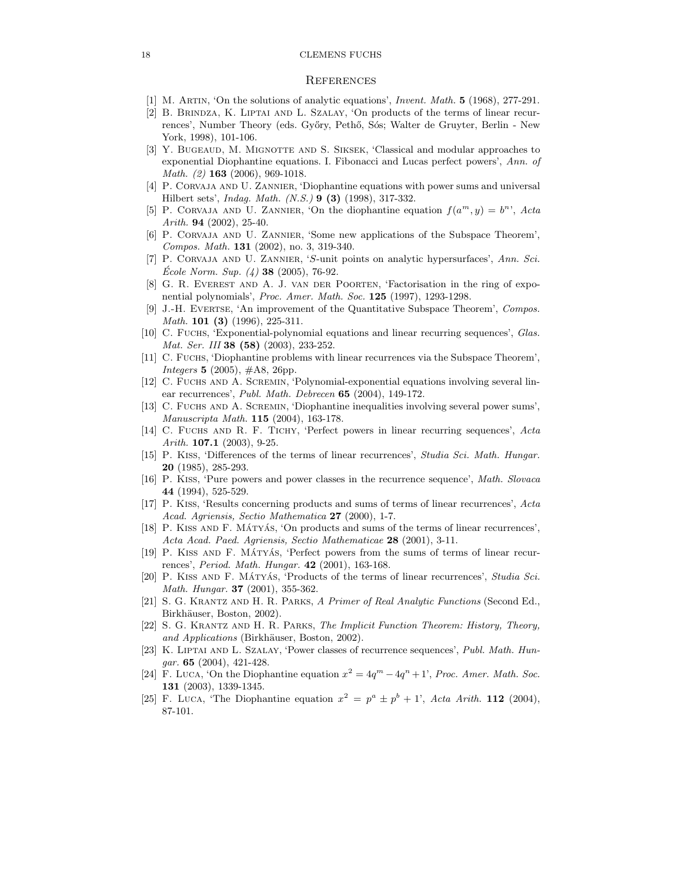### **REFERENCES**

- [1] M. Artin, 'On the solutions of analytic equations', Invent. Math. 5 (1968), 277-291.
- [2] B. Brindza, K. Liptai and L. Szalay, 'On products of the terms of linear recurrences', Number Theory (eds. Győry, Pethő, Sós; Walter de Gruyter, Berlin - New York, 1998), 101-106.
- [3] Y. BUGEAUD, M. MIGNOTTE AND S. SIKSEK, 'Classical and modular approaches to exponential Diophantine equations. I. Fibonacci and Lucas perfect powers', Ann. of Math. (2) **163** (2006), 969-1018.
- [4] P. Corvaja and U. Zannier, 'Diophantine equations with power sums and universal Hilbert sets', Indag. Math. (N.S.) 9 (3) (1998), 317-332.
- [5] P. CORVAJA AND U. ZANNIER, 'On the diophantine equation  $f(a^m, y) = b^n$ ', Acta Arith. 94 (2002), 25-40.
- [6] P. Corvaja and U. Zannier, 'Some new applications of the Subspace Theorem', Compos. Math. 131 (2002), no. 3, 319-340.
- [7] P. Corvaja and U. Zannier, 'S-unit points on analytic hypersurfaces', Ann. Sci. Ecole Norm. Sup.  $(4)$  38 (2005), 76-92.
- [8] G. R. Everest and A. J. van der Poorten, 'Factorisation in the ring of exponential polynomials', Proc. Amer. Math. Soc. 125 (1997), 1293-1298.
- [9] J.-H. Evertse, 'An improvement of the Quantitative Subspace Theorem', Compos. Math. **101** (**3**) (1996), 225-311.
- [10] C. Fuchs, 'Exponential-polynomial equations and linear recurring sequences', Glas. Mat. Ser. III **38 (58)** (2003), 233-252.
- [11] C. Fuchs, 'Diophantine problems with linear recurrences via the Subspace Theorem', *Integers* **5** (2005),  $\#A8$ , 26pp.
- [12] C. Fuchs and A. Scremin, 'Polynomial-exponential equations involving several linear recurrences', Publ. Math. Debrecen 65 (2004), 149-172.
- [13] C. Fuchs and A. Scremin, 'Diophantine inequalities involving several power sums', Manuscripta Math. 115 (2004), 163-178.
- [14] C. Fuchs and R. F. Tichy, 'Perfect powers in linear recurring sequences', Acta Arith.  $107.1$  (2003), 9-25.
- [15] P. Kiss, 'Differences of the terms of linear recurrences', Studia Sci. Math. Hungar. 20 (1985), 285-293.
- [16] P. KISS, 'Pure powers and power classes in the recurrence sequence', Math. Slovaca 44 (1994), 525-529.
- [17] P. Kiss, 'Results concerning products and sums of terms of linear recurrences', Acta Acad. Agriensis, Sectio Mathematica 27 (2000), 1-7.
- [18] P. KISS AND F. MÁTYÁS, 'On products and sums of the terms of linear recurrences', Acta Acad. Paed. Agriensis, Sectio Mathematicae 28 (2001), 3-11.
- [19] P. KISS AND F. MÁTYÁS, 'Perfect powers from the sums of terms of linear recurrences', Period. Math. Hungar. 42 (2001), 163-168.
- [20] P. KISS AND F. MÁTYÁS, 'Products of the terms of linear recurrences', Studia Sci. Math. Hungar. 37 (2001), 355-362.
- [21] S. G. Krantz and H. R. Parks, A Primer of Real Analytic Functions (Second Ed., Birkhäuser, Boston, 2002).
- [22] S. G. Krantz and H. R. Parks, The Implicit Function Theorem: History, Theory, and Applications (Birkhäuser, Boston, 2002).
- [23] K. Liptai and L. Szalay, 'Power classes of recurrence sequences', Publ. Math. Hun $gar. 65 (2004), 421-428.$
- [24] F. LUCA, 'On the Diophantine equation  $x^2 = 4q^m 4q^n + 1$ ', Proc. Amer. Math. Soc. 131 (2003), 1339-1345.
- [25] F. LUCA, 'The Diophantine equation  $x^2 = p^a \pm p^b + 1$ ', Acta Arith. 112 (2004), 87-101.